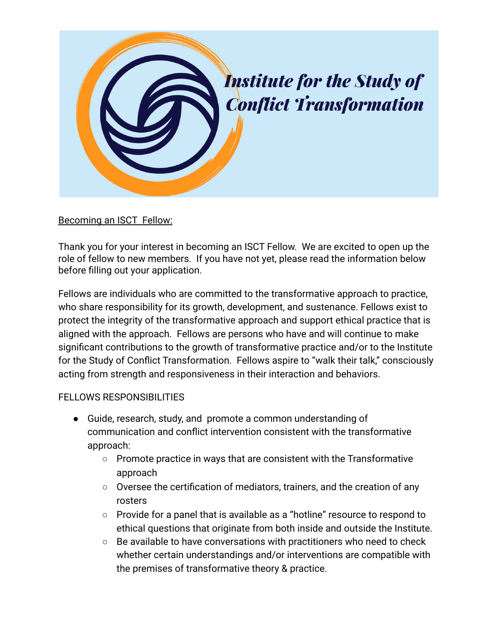

## Becoming an ISCT Fellow:

Thank you for your interest in becoming an ISCT Fellow. We are excited to open up the role of fellow to new members. If you have not yet, please read the information below before filling out your application.

Fellows are individuals who are committed to the transformative approach to practice, who share responsibility for its growth, development, and sustenance. Fellows exist to protect the integrity of the transformative approach and support ethical practice that is aligned with the approach. Fellows are persons who have and will continue to make significant contributions to the growth of transformative practice and/or to the Institute for the Study of Conflict Transformation. Fellows aspire to "walk their talk," consciously acting from strength and responsiveness in their interaction and behaviors.

## FELLOWS RESPONSIBILITIES

- Guide, research, study, and promote a common understanding of communication and conflict intervention consistent with the transformative approach:
	- Promote practice in ways that are consistent with the Transformative approach
	- Oversee the certification of mediators, trainers, and the creation of any rosters
	- Provide for a panel that is available as a "hotline" resource to respond to ethical questions that originate from both inside and outside the Institute.
	- Be available to have conversations with practitioners who need to check whether certain understandings and/or interventions are compatible with the premises of transformative theory & practice.